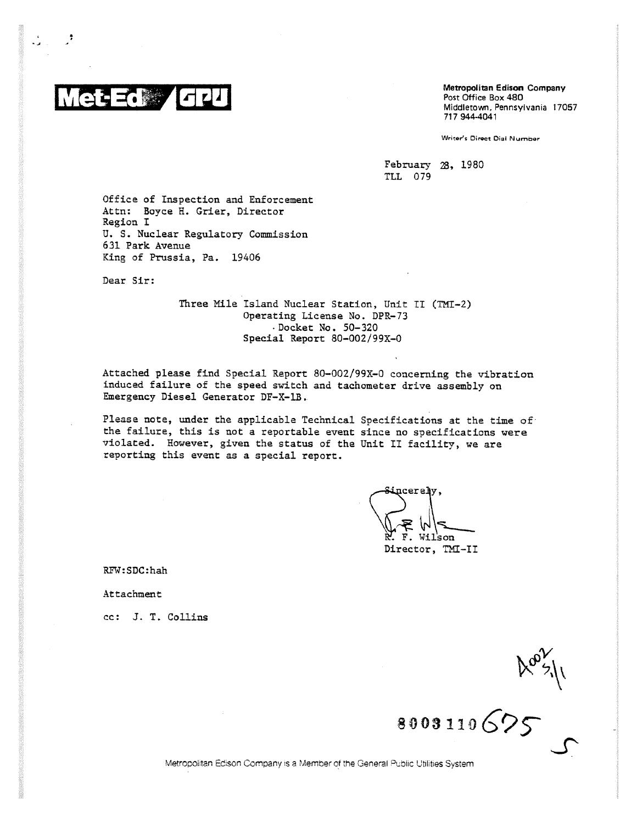

Metropolitan Edison Company Post Office Box 480 Middletown, Pennsylvania 17057 717 944-4041

Writar's Direct Dial Number

February 23, 1980 ILL 079

Office of Inspection and Enforcement Attn: Boyce H. Grier, Director Region I U. S. Nuclear Regulatory Commission 631 Park Avenue King of Prussia, Pa. 19406

Dear Sir:

Three Mile Island Nuclear Station, Unit II (TMI-2) Operating License No. DPR-73 -Docket No. 50-320 Special Report 80-002/99X-0

Attached please find Special Report 80-002/99X-0 concerning the vibration induced failure of the speed switch and tachometer drive assembly on Emergency Diesel Generator DF-X-1B.

Please note, under the applicable Technical Specifications at the time of the failure, this is not a reportable event since no specifications were violated. However, given the status of the Unit II facility, we are reporting this event as a special report.

 $_{\text{ncerely}}$ Wilson Director, TMI-II

RFW:SDC:hah

Attachment

cc: J. T. Collins

**8003110625** 

Metropolitan Edison Company is a Member of the General Public Utilities System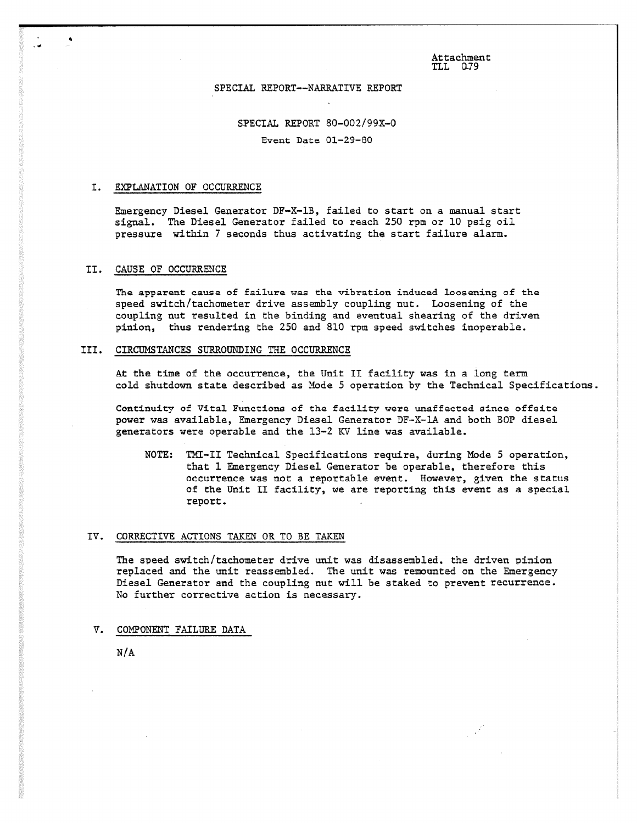Attachment  $TLL$   $QJ9$ 

### ,SPECIAL REPORT--NARRATIVE REPORT

# SPECIAL REPORT 80-002/99K-0 Event Date 01-29-80

#### I. EXPLANATION OF OCCURRENCE

Emergency Diesel Generator DF-X-1B, failed to start on a manual start signal. The Diesel Generator failed to reach 250 rpm or 10 psig oil pressure within 7 seconds thus activating the start failure alarm.

## II. CAUSE OF OCCURRENCE

The apparent cause of failure was the vibration induced loosening of the speed switch/tachometer drive assembly coupling nut. Loosening of the coupling nut resulted in the binding and eventual shearing of the driven pinion, thus rendering the 250 and 810 rpm speed switches inoperable.

## III. CIRCUMSTANCES SURROUNDING THE OCCURRENCE

At the time of the occurrence, the Unit II facility was in a long term cold shutdown state described as Mode 5 operation by the Technical Specifications.

Continuity of Vital Functions of the facility were unaffected since offsite power was available, Emergency Diesel Generator DF-X-1A and both BOP diesel generators were operable and the 13-2 KV line was available.

NOTE: TMI-II Technical Specifications require, during Mode 5 operation, that 1 Emergency Diesel Generator be operable, therefore this occurrence was not a reportable event. However, given the status of the Unit II facility, we are reporting this event as a special report.

#### IV. CORRECTIVE ACTIONS TAKEN OR TO BE TAKEN

The speed switch/tachometer drive unit was disassembled, the driven pinion replaced and the unit reassembled. The unit was remounted on the Emergency Diesel Generator and the coupling nut will be staked to prevent recurrence. No further corrective action is necessary.

V. COMPONENT FAILURE DATA

N/A